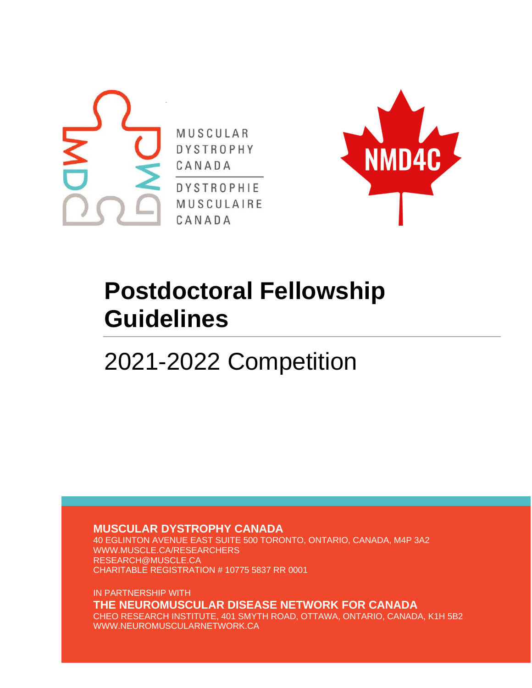



# **Postdoctoral Fellowship Guidelines**

2021-2022 Competition

**MUSCULAR DYSTROPHY CANADA**

40 EGLINTON AVENUE EAST SUITE 500 TORONTO, ONTARIO, CANADA, M4P 3A2 WWW.MUSCLE.CA/RESEARCHERS RESEARCH@MUSCLE.CA CHARITABLE REGISTRATION # 10775 5837 RR 0001

IN PARTNERSHIP WITH **THE NEUROMUSCULAR DISEASE NETWORK FOR CANADA** CHEO RESEARCH INSTITUTE, 401 SMYTH ROAD, OTTAWA, ONTARIO, CANADA, K1H 5B2 WWW.NEUROMUSCULARNETWORK.CA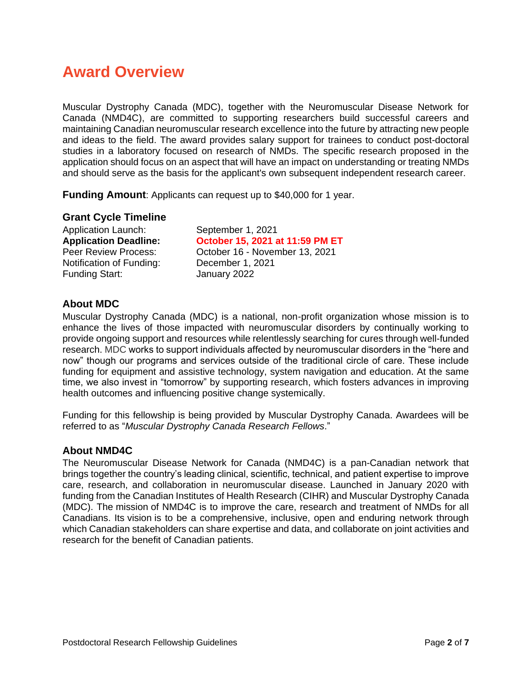## <span id="page-1-0"></span>**Award Overview**

Muscular Dystrophy Canada (MDC), together with the Neuromuscular Disease Network for Canada (NMD4C), are committed to supporting researchers build successful careers and maintaining Canadian neuromuscular research excellence into the future by attracting new people and ideas to the field. The award provides salary support for trainees to conduct post-doctoral studies in a laboratory focused on research of NMDs. The specific research proposed in the application should focus on an aspect that will have an impact on understanding or treating NMDs and should serve as the basis for the applicant's own subsequent independent research career.

<span id="page-1-1"></span>**Funding Amount**: Applicants can request up to \$40,000 for 1 year.

#### <span id="page-1-2"></span>**Grant Cycle Timeline**

Application Launch: September 1, 2021 Notification of Funding: December 1, 2021 Funding Start: January 2022

**Application Deadline: October 15, 2021 at 11:59 PM ET** Peer Review Process: October 16 - November 13, 2021

#### <span id="page-1-3"></span>**About MDC**

Muscular Dystrophy Canada (MDC) is a national, non-profit organization whose mission is to enhance the lives of those impacted with neuromuscular disorders by continually working to provide ongoing support and resources while relentlessly searching for cures through well-funded research. MDC works to support individuals affected by neuromuscular disorders in the "here and now" though our programs and services outside of the traditional circle of care. These include funding for equipment and assistive technology, system navigation and education. At the same time, we also invest in "tomorrow" by supporting research, which fosters advances in improving health outcomes and influencing positive change systemically.

Funding for this fellowship is being provided by Muscular Dystrophy Canada. Awardees will be referred to as "*Muscular Dystrophy Canada Research Fellows*."

#### <span id="page-1-4"></span>**About NMD4C**

The Neuromuscular Disease Network for Canada (NMD4C) is a pan-Canadian network that brings together the country's leading clinical, scientific, technical, and patient expertise to improve care, research, and collaboration in neuromuscular disease. Launched in January 2020 with funding from the Canadian Institutes of Health Research (CIHR) and Muscular Dystrophy Canada (MDC). The mission of NMD4C is to improve the care, research and treatment of NMDs for all Canadians. Its vision is to be a comprehensive, inclusive, open and enduring network through which Canadian stakeholders can share expertise and data, and collaborate on joint activities and research for the benefit of Canadian patients.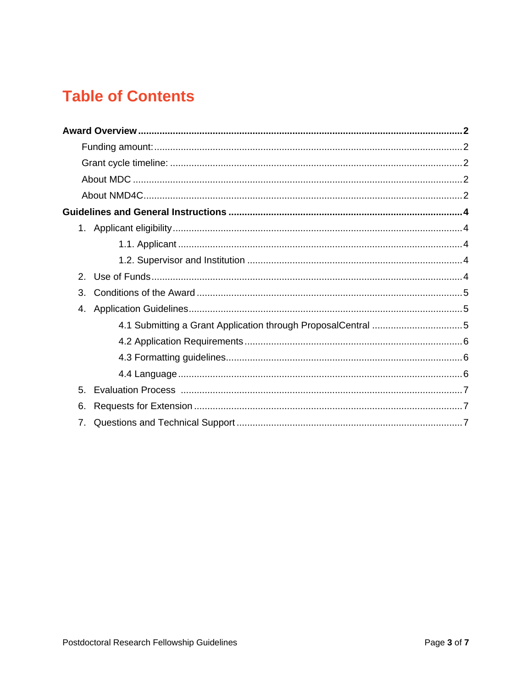## **Table of Contents**

| $\mathcal{P}_{\mathcal{C}}$ |  |
|-----------------------------|--|
| 3.                          |  |
| 4.                          |  |
|                             |  |
|                             |  |
|                             |  |
|                             |  |
| 5.                          |  |
| 6.                          |  |
| 7.                          |  |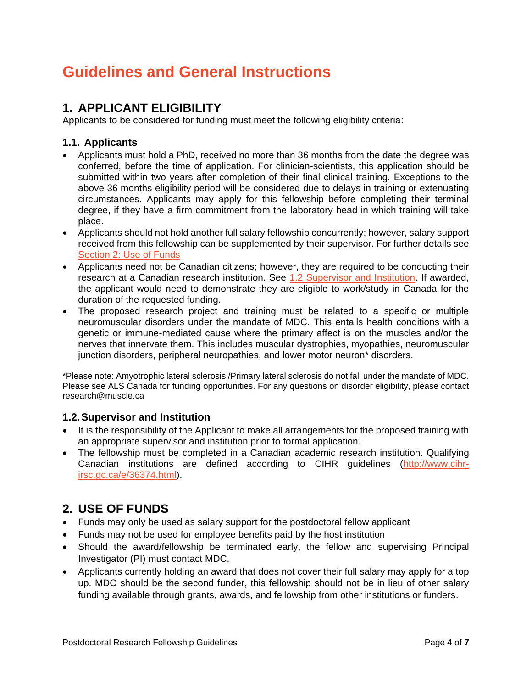## <span id="page-3-0"></span>**Guidelines and General Instructions**

## <span id="page-3-1"></span>**1. APPLICANT ELIGIBILITY**

Applicants to be considered for funding must meet the following eligibility criteria:

### <span id="page-3-2"></span>**1.1. Applicants**

- Applicants must hold a PhD, received no more than 36 months from the date the degree was conferred, before the time of application. For clinician-scientists, this application should be submitted within two years after completion of their final clinical training. Exceptions to the above 36 months eligibility period will be considered due to delays in training or extenuating circumstances. Applicants may apply for this fellowship before completing their terminal degree, if they have a firm commitment from the laboratory head in which training will take place.
- Applicants should not hold another full salary fellowship concurrently; however, salary support received from this fellowship can be supplemented by their supervisor. For further details see Section [2: Use of Funds](#page-3-4)
- Applicants need not be Canadian citizens; however, they are required to be conducting their research at a Canadian research institution. See [1.2 Supervisor and Institution.](#page-3-3) If awarded, the applicant would need to demonstrate they are eligible to work/study in Canada for the duration of the requested funding.
- The proposed research project and training must be related to a specific or multiple neuromuscular disorders under the mandate of MDC. This entails health conditions with a genetic or immune-mediated cause where the primary affect is on the muscles and/or the nerves that innervate them. This includes muscular dystrophies, myopathies, neuromuscular junction disorders, peripheral neuropathies, and lower motor neuron\* disorders.

\*Please note: Amyotrophic lateral sclerosis /Primary lateral sclerosis do not fall under the mandate of MDC. Please see ALS Canada for funding opportunities. For any questions on disorder eligibility, please contact research@muscle.ca

### <span id="page-3-3"></span>**1.2.Supervisor and Institution**

- It is the responsibility of the Applicant to make all arrangements for the proposed training with an appropriate supervisor and institution prior to formal application.
- The fellowship must be completed in a Canadian academic research institution. Qualifying Canadian institutions are defined according to CIHR guidelines (http://www.cihrirsc.gc.ca/e/36374.html).

## <span id="page-3-4"></span>**2. USE OF FUNDS**

- Funds may only be used as salary support for the postdoctoral fellow applicant
- Funds may not be used for employee benefits paid by the host institution
- Should the award/fellowship be terminated early, the fellow and supervising Principal Investigator (PI) must contact MDC.
- Applicants currently holding an award that does not cover their full salary may apply for a top up. MDC should be the second funder, this fellowship should not be in lieu of other salary funding available through grants, awards, and fellowship from other institutions or funders.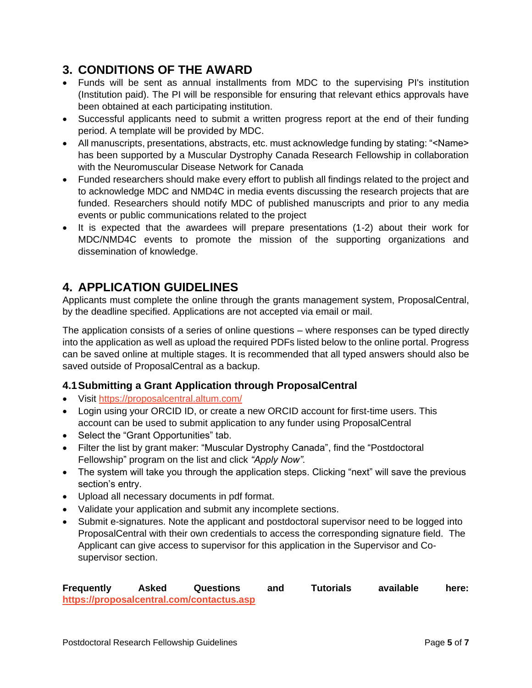## <span id="page-4-0"></span>**3. CONDITIONS OF THE AWARD**

- Funds will be sent as annual installments from MDC to the supervising PI's institution (Institution paid). The PI will be responsible for ensuring that relevant ethics approvals have been obtained at each participating institution.
- Successful applicants need to submit a written progress report at the end of their funding period. A template will be provided by MDC.
- All manuscripts, presentations, abstracts, etc. must acknowledge funding by stating: "<Name> has been supported by a Muscular Dystrophy Canada Research Fellowship in collaboration with the Neuromuscular Disease Network for Canada
- Funded researchers should make every effort to publish all findings related to the project and to acknowledge MDC and NMD4C in media events discussing the research projects that are funded. Researchers should notify MDC of published manuscripts and prior to any media events or public communications related to the project
- It is expected that the awardees will prepare presentations (1-2) about their work for MDC/NMD4C events to promote the mission of the supporting organizations and dissemination of knowledge.

## <span id="page-4-1"></span>**4. APPLICATION GUIDELINES**

Applicants must complete the online through the grants management system, ProposalCentral, by the deadline specified. Applications are not accepted via email or mail.

The application consists of a series of online questions – where responses can be typed directly into the application as well as upload the required PDFs listed below to the online portal. Progress can be saved online at multiple stages. It is recommended that all typed answers should also be saved outside of ProposalCentral as a backup.

### <span id="page-4-2"></span>**4.1Submitting a Grant Application through ProposalCentral**

- Visit https://proposalcentral.altum.com/
- Login using your ORCID ID, or create a new ORCID account for first-time users. This account can be used to submit application to any funder using ProposalCentral
- Select the "Grant Opportunities" tab.
- Filter the list by grant maker: "Muscular Dystrophy Canada", find the "Postdoctoral Fellowship" program on the list and click *"Apply Now".*
- The system will take you through the application steps. Clicking "next" will save the previous section's entry.
- Upload all necessary documents in pdf format.
- Validate your application and submit any incomplete sections.
- Submit e-signatures. Note the applicant and postdoctoral supervisor need to be logged into ProposalCentral with their own credentials to access the corresponding signature field. The Applicant can give access to supervisor for this application in the Supervisor and Cosupervisor section.

**Frequently Asked Questions and Tutorials available here: https://proposalcentral.com/contactus.asp**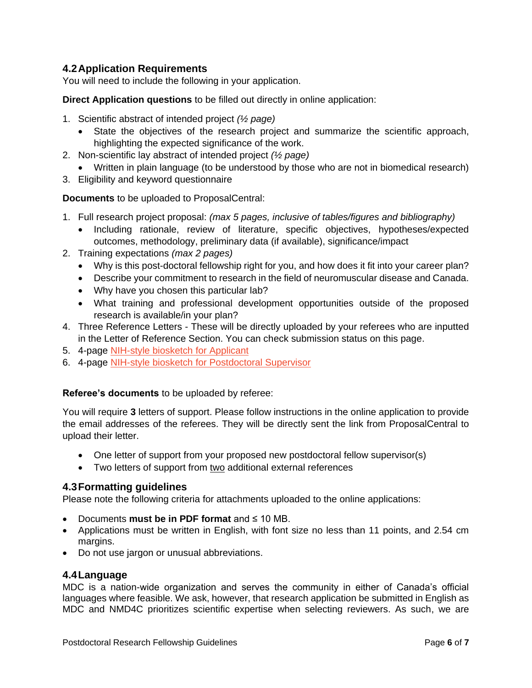### <span id="page-5-0"></span>**4.2Application Requirements**

You will need to include the following in your application.

**Direct Application questions** to be filled out directly in online application:

- 1. Scientific abstract of intended project *(½ page)*
	- State the objectives of the research project and summarize the scientific approach, highlighting the expected significance of the work.
- 2. Non-scientific lay abstract of intended project *(½ page)*
	- Written in plain language (to be understood by those who are not in biomedical research)
- 3. Eligibility and keyword questionnaire

**Documents** to be uploaded to ProposalCentral:

- 1. Full research project proposal: *(max 5 pages, inclusive of tables/figures and bibliography)*
	- Including rationale, review of literature, specific objectives, hypotheses/expected outcomes, methodology, preliminary data (if available), significance/impact
- 2. Training expectations *(max 2 pages)*
	- Why is this post-doctoral fellowship right for you, and how does it fit into your career plan?
	- Describe your commitment to research in the field of neuromuscular disease and Canada.
	- Why have you chosen this particular lab?
	- What training and professional development opportunities outside of the proposed research is available/in your plan?
- 4. Three Reference Letters These will be directly uploaded by your referees who are inputted in the Letter of Reference Section. You can check submission status on this page.
- 5. 4-page NIH-style biosketch for Applicant
- 6. 4-page NIH-style biosketch for Postdoctoral Supervisor

#### **Referee's documents** to be uploaded by referee:

You will require **3** letters of support. Please follow instructions in the online application to provide the email addresses of the referees. They will be directly sent the link from ProposalCentral to upload their letter.

- One letter of support from your proposed new postdoctoral fellow supervisor(s)
- Two letters of support from two additional external references

#### <span id="page-5-1"></span>**4.3Formatting guidelines**

Please note the following criteria for attachments uploaded to the online applications:

- Documents **must be in PDF format** and ≤ 10 MB.
- Applications must be written in English, with font size no less than 11 points, and 2.54 cm margins.
- Do not use jargon or unusual abbreviations.

#### <span id="page-5-2"></span>**4.4Language**

MDC is a nation-wide organization and serves the community in either of Canada's official languages where feasible. We ask, however, that research application be submitted in English as MDC and NMD4C prioritizes scientific expertise when selecting reviewers. As such, we are